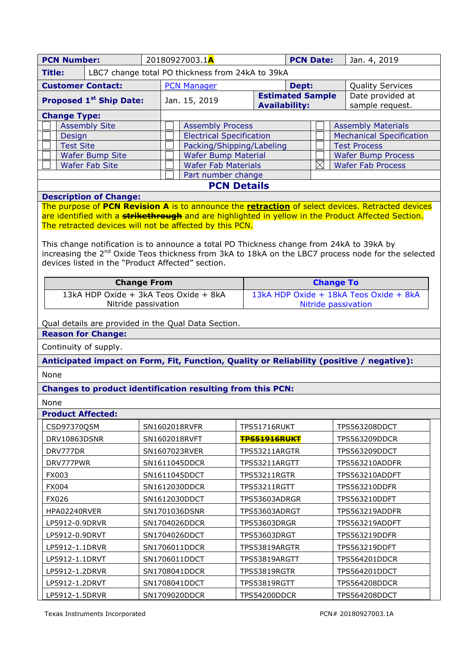| <b>PCN Number:</b>       |  |                                | 20180927003.1A                                   |                                 |       | <b>PCN Date:</b><br>Jan. 4, 2019 |                           |                                 |                 |
|--------------------------|--|--------------------------------|--------------------------------------------------|---------------------------------|-------|----------------------------------|---------------------------|---------------------------------|-----------------|
| <b>Title:</b>            |  |                                | LBC7 change total PO thickness from 24kA to 39kA |                                 |       |                                  |                           |                                 |                 |
| <b>Customer Contact:</b> |  |                                | <b>PCN Manager</b>                               |                                 | Dept: |                                  |                           | <b>Quality Services</b>         |                 |
|                          |  | <b>Proposed 1st Ship Date:</b> |                                                  | Jan. 15, 2019                   |       | <b>Estimated Sample</b>          |                           | Date provided at                |                 |
|                          |  |                                |                                                  | <b>Availability:</b>            |       |                                  |                           |                                 | sample request. |
| <b>Change Type:</b>      |  |                                |                                                  |                                 |       |                                  |                           |                                 |                 |
| <b>Assembly Site</b>     |  |                                | <b>Assembly Process</b>                          |                                 |       |                                  | <b>Assembly Materials</b> |                                 |                 |
| <b>Design</b>            |  |                                |                                                  | <b>Electrical Specification</b> |       |                                  |                           | <b>Mechanical Specification</b> |                 |
| <b>Test Site</b>         |  |                                | Packing/Shipping/Labeling                        |                                 |       |                                  | <b>Test Process</b>       |                                 |                 |
| <b>Wafer Bump Site</b>   |  |                                | <b>Wafer Bump Material</b>                       |                                 |       |                                  | <b>Wafer Bump Process</b> |                                 |                 |
| <b>Wafer Fab Site</b>    |  |                                |                                                  | <b>Wafer Fab Materials</b>      |       | $\boxtimes$                      |                           | <b>Wafer Fab Process</b>        |                 |
| Part number change       |  |                                |                                                  |                                 |       |                                  |                           |                                 |                 |
| <b>PCN Details</b>       |  |                                |                                                  |                                 |       |                                  |                           |                                 |                 |

# **Description of Change:**

The purpose of **PCN Revision A** is to announce the **retraction** of select devices. Retracted devices are identified with a **strikethrough** and are highlighted in yellow in the Product Affected Section. The retracted devices will not be affected by this PCN.

This change notification is to announce a total PO Thickness change from 24kA to 39kA by increasing the 2<sup>nd</sup> Oxide Teos thickness from 3kA to 18kA on the LBC7 process node for the selected devices listed in the "Product Affected" section.

| <b>Change From</b>                    | <b>Change To</b>                       |
|---------------------------------------|----------------------------------------|
| 13kA HDP Oxide + 3kA Teos Oxide + 8kA | 13kA HDP Oxide + 18kA Teos Oxide + 8kA |
| Nitride passivation                   | Nitride passivation                    |

Qual details are provided in the Qual Data Section.

**Reason for Change:**

Continuity of supply.

**Anticipated impact on Form, Fit, Function, Quality or Reliability (positive / negative):**

None

# **Changes to product identification resulting from this PCN:**

None

# **Product Affected:**

| CSD97370Q5M    | SN1602018RVFR | TPS51716RUKT        | <b>TPS563208DDCT</b> |
|----------------|---------------|---------------------|----------------------|
| DRV10863DSNR   | SN1602018RVFT | <b>TPS51916RUKT</b> | <b>TPS563209DDCR</b> |
| DRV777DR       | SN1607023RVER | TPS53211ARGTR       | <b>TPS563209DDCT</b> |
| DRV777PWR      | SN1611045DDCR | TPS53211ARGTT       | TPS563210ADDFR       |
| FX003          | SN1611045DDCT | <b>TPS53211RGTR</b> | TPS563210ADDFT       |
| <b>FX004</b>   | SN1612030DDCR | TPS53211RGTT        | <b>TPS563210DDFR</b> |
| <b>FX026</b>   | SN1612030DDCT | TPS53603ADRGR       | <b>TPS563210DDFT</b> |
| HPA02240RVER   | SN1701036DSNR | TPS53603ADRGT       | TPS563219ADDFR       |
| LP5912-0.9DRVR | SN1704026DDCR | TPS53603DRGR        | TPS563219ADDFT       |
| LP5912-0.9DRVT | SN1704026DDCT | TPS53603DRGT        | <b>TPS563219DDFR</b> |
| LP5912-1.1DRVR | SN1706011DDCR | TPS53819ARGTR       | <b>TPS563219DDFT</b> |
| LP5912-1.1DRVT | SN1706011DDCT | TPS53819ARGTT       | <b>TPS564201DDCR</b> |
| LP5912-1.2DRVR | SN1708041DDCR | TPS53819RGTR        | TPS564201DDCT        |
| LP5912-1.2DRVT | SN1708041DDCT | <b>TPS53819RGTT</b> | <b>TPS564208DDCR</b> |
| LP5912-1.5DRVR | SN1709020DDCR | TPS54200DDCR        | <b>TPS564208DDCT</b> |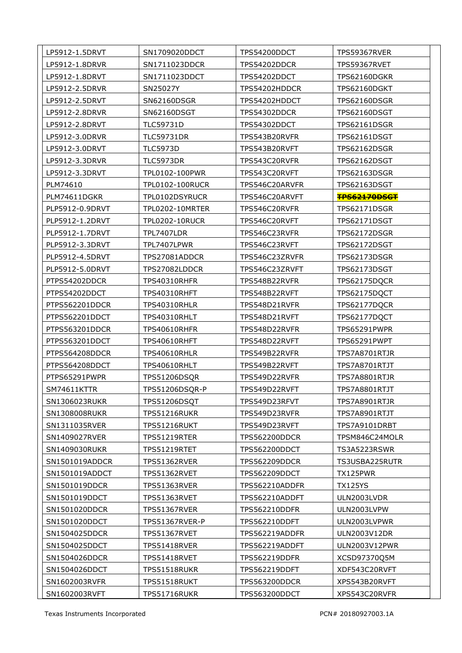| LP5912-1.5DRVT<br>SN1709020DDCT<br>TPS54200DDCT<br>TPS59367RVER<br>SN1711023DDCR<br>TPS54202DDCR<br><b>TPS59367RVET</b><br>LP5912-1.8DRVR<br>SN1711023DDCT<br>TPS54202DDCT<br>LP5912-1.8DRVT<br>TPS62160DGKR<br>SN25027Y<br>LP5912-2.5DRVR<br>TPS54202HDDCR<br>TPS62160DGKT<br>LP5912-2.5DRVT<br>SN62160DSGR<br>TPS54202HDDCT<br>TPS62160DSGR<br>LP5912-2.8DRVR<br>SN62160DSGT<br>TPS54302DDCR<br><b>TPS62160DSGT</b><br>LP5912-2.8DRVT<br><b>TLC59731D</b><br>TPS54302DDCT<br><b>TPS62161DSGR</b><br><b>TLC59731DR</b><br><b>TPS62161DSGT</b><br>LP5912-3.0DRVR<br>TPS543B20RVFR<br>LP5912-3.0DRVT<br><b>TLC5973D</b><br>TPS543B20RVFT<br><b>TPS62162DSGR</b><br>LP5912-3.3DRVR<br><b>TLC5973DR</b><br>TPS543C20RVFR<br><b>TPS62162DSGT</b><br>TPL0102-100PWR<br>LP5912-3.3DRVT<br>TPS543C20RVFT<br><b>TPS62163DSGR</b><br>PLM74610<br><b>TPL0102-100RUCR</b><br>TPS546C20ARVFR<br>TPS62163DSGT<br>PLM74611DGKR<br>TPL0102DSYRUCR<br>TPS546C20ARVFT<br><b>TPS62170DSGT</b><br>PLP5912-0.9DRVT<br>TPL0202-10MRTER<br>TPS546C20RVFR<br><b>TPS62171DSGR</b><br>PLP5912-1.2DRVT<br><b>TPL0202-10RUCR</b><br>TPS546C20RVFT<br><b>TPS62171DSGT</b><br>TPL7407LDR<br>PLP5912-1.7DRVT<br>TPS546C23RVFR<br><b>TPS62172DSGR</b><br>PLP5912-3.3DRVT<br>TPL7407LPWR<br>TPS62172DSGT<br>TPS546C23RVFT<br>PLP5912-4.5DRVT<br>TPS27081ADDCR<br>TPS546C23ZRVFR<br><b>TPS62173DSGR</b><br>PLP5912-5.0DRVT<br>TPS27082LDDCR<br>TPS546C23ZRVFT<br>TPS62173DSGT<br>TPS62175DQCR<br>PTPS54202DDCR<br>TPS40310RHFR<br>TPS548B22RVFR<br>PTPS54202DDCT<br>TPS40310RHFT<br>TPS548B22RVFT<br>TPS62175DQCT<br>PTPS562201DDCR<br>TPS40310RHLR<br>TPS548D21RVFR<br>TPS62177DQCR<br>PTPS562201DDCT<br>TPS40310RHLT<br>TPS548D21RVFT<br>TPS62177DQCT<br>PTPS563201DDCR<br>TPS40610RHFR<br>TPS548D22RVFR<br>TPS65291PWPR<br>PTPS563201DDCT<br>TPS40610RHFT<br>TPS548D22RVFT<br>TPS65291PWPT<br>PTPS564208DDCR<br>TPS40610RHLR<br>TPS549B22RVFR<br>TPS7A8701RTJR<br>PTPS564208DDCT<br>TPS40610RHLT<br>TPS549B22RVFT<br>TPS7A8701RTJT<br>PTPS65291PWPR<br><b>TPS51206DSQR</b><br>TPS549D22RVFR<br>TPS7A8801RTJR<br>TPS549D22RVFT<br>TPS7A8801RTJT<br>SM74611KTTR<br>TPS51206DSQR-P<br>SN1306023RUKR<br>TPS51206DSQT<br>TPS549D23RFVT<br>TPS7A8901RTJR<br>SN1308008RUKR<br>TPS51216RUKR<br>TPS549D23RVFR<br>TPS7A8901RTJT<br>SN1311035RVER<br>TPS51216RUKT<br>TPS549D23RVFT<br>TPS7A9101DRBT<br>SN1409027RVER<br>TPS51219RTER<br><b>TPS562200DDCR</b><br>TPSM846C24MOLR<br>SN1409030RUKR<br>TPS51219RTET<br><b>TPS562200DDCT</b><br>TS3A5223RSWR<br>SN1501019ADDCR<br>TPS51362RVER<br><b>TPS562209DDCR</b><br>TS3USBA225RUTR<br>TX125PWR<br>SN1501019ADDCT<br>TPS51362RVET<br>TPS562209DDCT<br>SN1501019DDCR<br>TPS562210ADDFR<br><b>TX125YS</b><br>TPS51363RVER<br>SN1501019DDCT<br>TPS51363RVET<br><b>TPS562210ADDFT</b><br>ULN2003LVDR<br>SN1501020DDCR<br>TPS51367RVER<br><b>TPS562210DDFR</b><br>ULN2003LVPW<br>SN1501020DDCT<br>TPS51367RVER-P<br>TPS562210DDFT<br>ULN2003LVPWR<br>SN1504025DDCR<br>TPS51367RVET<br>TPS562219ADDFR<br>ULN2003V12DR<br>SN1504025DDCT<br><b>TPS51418RVER</b><br>TPS562219ADDFT<br>ULN2003V12PWR<br>SN1504026DDCR<br>XCSD97370Q5M<br>TPS51418RVET<br><b>TPS562219DDFR</b><br>SN1504026DDCT<br>TPS51518RUKR<br><b>TPS562219DDFT</b><br>XDF543C20RVFT<br>SN1602003RVFR<br>TPS51518RUKT<br><b>TPS563200DDCR</b><br>XPS543B20RVFT<br><b>TPS563200DDCT</b><br>XPS543C20RVFR<br>SN1602003RVFT<br>TPS51716RUKR |  |  |
|----------------------------------------------------------------------------------------------------------------------------------------------------------------------------------------------------------------------------------------------------------------------------------------------------------------------------------------------------------------------------------------------------------------------------------------------------------------------------------------------------------------------------------------------------------------------------------------------------------------------------------------------------------------------------------------------------------------------------------------------------------------------------------------------------------------------------------------------------------------------------------------------------------------------------------------------------------------------------------------------------------------------------------------------------------------------------------------------------------------------------------------------------------------------------------------------------------------------------------------------------------------------------------------------------------------------------------------------------------------------------------------------------------------------------------------------------------------------------------------------------------------------------------------------------------------------------------------------------------------------------------------------------------------------------------------------------------------------------------------------------------------------------------------------------------------------------------------------------------------------------------------------------------------------------------------------------------------------------------------------------------------------------------------------------------------------------------------------------------------------------------------------------------------------------------------------------------------------------------------------------------------------------------------------------------------------------------------------------------------------------------------------------------------------------------------------------------------------------------------------------------------------------------------------------------------------------------------------------------------------------------------------------------------------------------------------------------------------------------------------------------------------------------------------------------------------------------------------------------------------------------------------------------------------------------------------------------------------------------------------------------------------------------------------------------------------------------------------------------------------------------------------------------------------------------------------------------------------------------------------------------------------------------------------------------------------------------------------------------------------------------------------------------|--|--|
|                                                                                                                                                                                                                                                                                                                                                                                                                                                                                                                                                                                                                                                                                                                                                                                                                                                                                                                                                                                                                                                                                                                                                                                                                                                                                                                                                                                                                                                                                                                                                                                                                                                                                                                                                                                                                                                                                                                                                                                                                                                                                                                                                                                                                                                                                                                                                                                                                                                                                                                                                                                                                                                                                                                                                                                                                                                                                                                                                                                                                                                                                                                                                                                                                                                                                                                                                                                                          |  |  |
|                                                                                                                                                                                                                                                                                                                                                                                                                                                                                                                                                                                                                                                                                                                                                                                                                                                                                                                                                                                                                                                                                                                                                                                                                                                                                                                                                                                                                                                                                                                                                                                                                                                                                                                                                                                                                                                                                                                                                                                                                                                                                                                                                                                                                                                                                                                                                                                                                                                                                                                                                                                                                                                                                                                                                                                                                                                                                                                                                                                                                                                                                                                                                                                                                                                                                                                                                                                                          |  |  |
|                                                                                                                                                                                                                                                                                                                                                                                                                                                                                                                                                                                                                                                                                                                                                                                                                                                                                                                                                                                                                                                                                                                                                                                                                                                                                                                                                                                                                                                                                                                                                                                                                                                                                                                                                                                                                                                                                                                                                                                                                                                                                                                                                                                                                                                                                                                                                                                                                                                                                                                                                                                                                                                                                                                                                                                                                                                                                                                                                                                                                                                                                                                                                                                                                                                                                                                                                                                                          |  |  |
|                                                                                                                                                                                                                                                                                                                                                                                                                                                                                                                                                                                                                                                                                                                                                                                                                                                                                                                                                                                                                                                                                                                                                                                                                                                                                                                                                                                                                                                                                                                                                                                                                                                                                                                                                                                                                                                                                                                                                                                                                                                                                                                                                                                                                                                                                                                                                                                                                                                                                                                                                                                                                                                                                                                                                                                                                                                                                                                                                                                                                                                                                                                                                                                                                                                                                                                                                                                                          |  |  |
|                                                                                                                                                                                                                                                                                                                                                                                                                                                                                                                                                                                                                                                                                                                                                                                                                                                                                                                                                                                                                                                                                                                                                                                                                                                                                                                                                                                                                                                                                                                                                                                                                                                                                                                                                                                                                                                                                                                                                                                                                                                                                                                                                                                                                                                                                                                                                                                                                                                                                                                                                                                                                                                                                                                                                                                                                                                                                                                                                                                                                                                                                                                                                                                                                                                                                                                                                                                                          |  |  |
|                                                                                                                                                                                                                                                                                                                                                                                                                                                                                                                                                                                                                                                                                                                                                                                                                                                                                                                                                                                                                                                                                                                                                                                                                                                                                                                                                                                                                                                                                                                                                                                                                                                                                                                                                                                                                                                                                                                                                                                                                                                                                                                                                                                                                                                                                                                                                                                                                                                                                                                                                                                                                                                                                                                                                                                                                                                                                                                                                                                                                                                                                                                                                                                                                                                                                                                                                                                                          |  |  |
|                                                                                                                                                                                                                                                                                                                                                                                                                                                                                                                                                                                                                                                                                                                                                                                                                                                                                                                                                                                                                                                                                                                                                                                                                                                                                                                                                                                                                                                                                                                                                                                                                                                                                                                                                                                                                                                                                                                                                                                                                                                                                                                                                                                                                                                                                                                                                                                                                                                                                                                                                                                                                                                                                                                                                                                                                                                                                                                                                                                                                                                                                                                                                                                                                                                                                                                                                                                                          |  |  |
|                                                                                                                                                                                                                                                                                                                                                                                                                                                                                                                                                                                                                                                                                                                                                                                                                                                                                                                                                                                                                                                                                                                                                                                                                                                                                                                                                                                                                                                                                                                                                                                                                                                                                                                                                                                                                                                                                                                                                                                                                                                                                                                                                                                                                                                                                                                                                                                                                                                                                                                                                                                                                                                                                                                                                                                                                                                                                                                                                                                                                                                                                                                                                                                                                                                                                                                                                                                                          |  |  |
|                                                                                                                                                                                                                                                                                                                                                                                                                                                                                                                                                                                                                                                                                                                                                                                                                                                                                                                                                                                                                                                                                                                                                                                                                                                                                                                                                                                                                                                                                                                                                                                                                                                                                                                                                                                                                                                                                                                                                                                                                                                                                                                                                                                                                                                                                                                                                                                                                                                                                                                                                                                                                                                                                                                                                                                                                                                                                                                                                                                                                                                                                                                                                                                                                                                                                                                                                                                                          |  |  |
|                                                                                                                                                                                                                                                                                                                                                                                                                                                                                                                                                                                                                                                                                                                                                                                                                                                                                                                                                                                                                                                                                                                                                                                                                                                                                                                                                                                                                                                                                                                                                                                                                                                                                                                                                                                                                                                                                                                                                                                                                                                                                                                                                                                                                                                                                                                                                                                                                                                                                                                                                                                                                                                                                                                                                                                                                                                                                                                                                                                                                                                                                                                                                                                                                                                                                                                                                                                                          |  |  |
|                                                                                                                                                                                                                                                                                                                                                                                                                                                                                                                                                                                                                                                                                                                                                                                                                                                                                                                                                                                                                                                                                                                                                                                                                                                                                                                                                                                                                                                                                                                                                                                                                                                                                                                                                                                                                                                                                                                                                                                                                                                                                                                                                                                                                                                                                                                                                                                                                                                                                                                                                                                                                                                                                                                                                                                                                                                                                                                                                                                                                                                                                                                                                                                                                                                                                                                                                                                                          |  |  |
|                                                                                                                                                                                                                                                                                                                                                                                                                                                                                                                                                                                                                                                                                                                                                                                                                                                                                                                                                                                                                                                                                                                                                                                                                                                                                                                                                                                                                                                                                                                                                                                                                                                                                                                                                                                                                                                                                                                                                                                                                                                                                                                                                                                                                                                                                                                                                                                                                                                                                                                                                                                                                                                                                                                                                                                                                                                                                                                                                                                                                                                                                                                                                                                                                                                                                                                                                                                                          |  |  |
|                                                                                                                                                                                                                                                                                                                                                                                                                                                                                                                                                                                                                                                                                                                                                                                                                                                                                                                                                                                                                                                                                                                                                                                                                                                                                                                                                                                                                                                                                                                                                                                                                                                                                                                                                                                                                                                                                                                                                                                                                                                                                                                                                                                                                                                                                                                                                                                                                                                                                                                                                                                                                                                                                                                                                                                                                                                                                                                                                                                                                                                                                                                                                                                                                                                                                                                                                                                                          |  |  |
|                                                                                                                                                                                                                                                                                                                                                                                                                                                                                                                                                                                                                                                                                                                                                                                                                                                                                                                                                                                                                                                                                                                                                                                                                                                                                                                                                                                                                                                                                                                                                                                                                                                                                                                                                                                                                                                                                                                                                                                                                                                                                                                                                                                                                                                                                                                                                                                                                                                                                                                                                                                                                                                                                                                                                                                                                                                                                                                                                                                                                                                                                                                                                                                                                                                                                                                                                                                                          |  |  |
|                                                                                                                                                                                                                                                                                                                                                                                                                                                                                                                                                                                                                                                                                                                                                                                                                                                                                                                                                                                                                                                                                                                                                                                                                                                                                                                                                                                                                                                                                                                                                                                                                                                                                                                                                                                                                                                                                                                                                                                                                                                                                                                                                                                                                                                                                                                                                                                                                                                                                                                                                                                                                                                                                                                                                                                                                                                                                                                                                                                                                                                                                                                                                                                                                                                                                                                                                                                                          |  |  |
|                                                                                                                                                                                                                                                                                                                                                                                                                                                                                                                                                                                                                                                                                                                                                                                                                                                                                                                                                                                                                                                                                                                                                                                                                                                                                                                                                                                                                                                                                                                                                                                                                                                                                                                                                                                                                                                                                                                                                                                                                                                                                                                                                                                                                                                                                                                                                                                                                                                                                                                                                                                                                                                                                                                                                                                                                                                                                                                                                                                                                                                                                                                                                                                                                                                                                                                                                                                                          |  |  |
|                                                                                                                                                                                                                                                                                                                                                                                                                                                                                                                                                                                                                                                                                                                                                                                                                                                                                                                                                                                                                                                                                                                                                                                                                                                                                                                                                                                                                                                                                                                                                                                                                                                                                                                                                                                                                                                                                                                                                                                                                                                                                                                                                                                                                                                                                                                                                                                                                                                                                                                                                                                                                                                                                                                                                                                                                                                                                                                                                                                                                                                                                                                                                                                                                                                                                                                                                                                                          |  |  |
|                                                                                                                                                                                                                                                                                                                                                                                                                                                                                                                                                                                                                                                                                                                                                                                                                                                                                                                                                                                                                                                                                                                                                                                                                                                                                                                                                                                                                                                                                                                                                                                                                                                                                                                                                                                                                                                                                                                                                                                                                                                                                                                                                                                                                                                                                                                                                                                                                                                                                                                                                                                                                                                                                                                                                                                                                                                                                                                                                                                                                                                                                                                                                                                                                                                                                                                                                                                                          |  |  |
|                                                                                                                                                                                                                                                                                                                                                                                                                                                                                                                                                                                                                                                                                                                                                                                                                                                                                                                                                                                                                                                                                                                                                                                                                                                                                                                                                                                                                                                                                                                                                                                                                                                                                                                                                                                                                                                                                                                                                                                                                                                                                                                                                                                                                                                                                                                                                                                                                                                                                                                                                                                                                                                                                                                                                                                                                                                                                                                                                                                                                                                                                                                                                                                                                                                                                                                                                                                                          |  |  |
|                                                                                                                                                                                                                                                                                                                                                                                                                                                                                                                                                                                                                                                                                                                                                                                                                                                                                                                                                                                                                                                                                                                                                                                                                                                                                                                                                                                                                                                                                                                                                                                                                                                                                                                                                                                                                                                                                                                                                                                                                                                                                                                                                                                                                                                                                                                                                                                                                                                                                                                                                                                                                                                                                                                                                                                                                                                                                                                                                                                                                                                                                                                                                                                                                                                                                                                                                                                                          |  |  |
|                                                                                                                                                                                                                                                                                                                                                                                                                                                                                                                                                                                                                                                                                                                                                                                                                                                                                                                                                                                                                                                                                                                                                                                                                                                                                                                                                                                                                                                                                                                                                                                                                                                                                                                                                                                                                                                                                                                                                                                                                                                                                                                                                                                                                                                                                                                                                                                                                                                                                                                                                                                                                                                                                                                                                                                                                                                                                                                                                                                                                                                                                                                                                                                                                                                                                                                                                                                                          |  |  |
|                                                                                                                                                                                                                                                                                                                                                                                                                                                                                                                                                                                                                                                                                                                                                                                                                                                                                                                                                                                                                                                                                                                                                                                                                                                                                                                                                                                                                                                                                                                                                                                                                                                                                                                                                                                                                                                                                                                                                                                                                                                                                                                                                                                                                                                                                                                                                                                                                                                                                                                                                                                                                                                                                                                                                                                                                                                                                                                                                                                                                                                                                                                                                                                                                                                                                                                                                                                                          |  |  |
|                                                                                                                                                                                                                                                                                                                                                                                                                                                                                                                                                                                                                                                                                                                                                                                                                                                                                                                                                                                                                                                                                                                                                                                                                                                                                                                                                                                                                                                                                                                                                                                                                                                                                                                                                                                                                                                                                                                                                                                                                                                                                                                                                                                                                                                                                                                                                                                                                                                                                                                                                                                                                                                                                                                                                                                                                                                                                                                                                                                                                                                                                                                                                                                                                                                                                                                                                                                                          |  |  |
|                                                                                                                                                                                                                                                                                                                                                                                                                                                                                                                                                                                                                                                                                                                                                                                                                                                                                                                                                                                                                                                                                                                                                                                                                                                                                                                                                                                                                                                                                                                                                                                                                                                                                                                                                                                                                                                                                                                                                                                                                                                                                                                                                                                                                                                                                                                                                                                                                                                                                                                                                                                                                                                                                                                                                                                                                                                                                                                                                                                                                                                                                                                                                                                                                                                                                                                                                                                                          |  |  |
|                                                                                                                                                                                                                                                                                                                                                                                                                                                                                                                                                                                                                                                                                                                                                                                                                                                                                                                                                                                                                                                                                                                                                                                                                                                                                                                                                                                                                                                                                                                                                                                                                                                                                                                                                                                                                                                                                                                                                                                                                                                                                                                                                                                                                                                                                                                                                                                                                                                                                                                                                                                                                                                                                                                                                                                                                                                                                                                                                                                                                                                                                                                                                                                                                                                                                                                                                                                                          |  |  |
|                                                                                                                                                                                                                                                                                                                                                                                                                                                                                                                                                                                                                                                                                                                                                                                                                                                                                                                                                                                                                                                                                                                                                                                                                                                                                                                                                                                                                                                                                                                                                                                                                                                                                                                                                                                                                                                                                                                                                                                                                                                                                                                                                                                                                                                                                                                                                                                                                                                                                                                                                                                                                                                                                                                                                                                                                                                                                                                                                                                                                                                                                                                                                                                                                                                                                                                                                                                                          |  |  |
|                                                                                                                                                                                                                                                                                                                                                                                                                                                                                                                                                                                                                                                                                                                                                                                                                                                                                                                                                                                                                                                                                                                                                                                                                                                                                                                                                                                                                                                                                                                                                                                                                                                                                                                                                                                                                                                                                                                                                                                                                                                                                                                                                                                                                                                                                                                                                                                                                                                                                                                                                                                                                                                                                                                                                                                                                                                                                                                                                                                                                                                                                                                                                                                                                                                                                                                                                                                                          |  |  |
|                                                                                                                                                                                                                                                                                                                                                                                                                                                                                                                                                                                                                                                                                                                                                                                                                                                                                                                                                                                                                                                                                                                                                                                                                                                                                                                                                                                                                                                                                                                                                                                                                                                                                                                                                                                                                                                                                                                                                                                                                                                                                                                                                                                                                                                                                                                                                                                                                                                                                                                                                                                                                                                                                                                                                                                                                                                                                                                                                                                                                                                                                                                                                                                                                                                                                                                                                                                                          |  |  |
|                                                                                                                                                                                                                                                                                                                                                                                                                                                                                                                                                                                                                                                                                                                                                                                                                                                                                                                                                                                                                                                                                                                                                                                                                                                                                                                                                                                                                                                                                                                                                                                                                                                                                                                                                                                                                                                                                                                                                                                                                                                                                                                                                                                                                                                                                                                                                                                                                                                                                                                                                                                                                                                                                                                                                                                                                                                                                                                                                                                                                                                                                                                                                                                                                                                                                                                                                                                                          |  |  |
|                                                                                                                                                                                                                                                                                                                                                                                                                                                                                                                                                                                                                                                                                                                                                                                                                                                                                                                                                                                                                                                                                                                                                                                                                                                                                                                                                                                                                                                                                                                                                                                                                                                                                                                                                                                                                                                                                                                                                                                                                                                                                                                                                                                                                                                                                                                                                                                                                                                                                                                                                                                                                                                                                                                                                                                                                                                                                                                                                                                                                                                                                                                                                                                                                                                                                                                                                                                                          |  |  |
|                                                                                                                                                                                                                                                                                                                                                                                                                                                                                                                                                                                                                                                                                                                                                                                                                                                                                                                                                                                                                                                                                                                                                                                                                                                                                                                                                                                                                                                                                                                                                                                                                                                                                                                                                                                                                                                                                                                                                                                                                                                                                                                                                                                                                                                                                                                                                                                                                                                                                                                                                                                                                                                                                                                                                                                                                                                                                                                                                                                                                                                                                                                                                                                                                                                                                                                                                                                                          |  |  |
|                                                                                                                                                                                                                                                                                                                                                                                                                                                                                                                                                                                                                                                                                                                                                                                                                                                                                                                                                                                                                                                                                                                                                                                                                                                                                                                                                                                                                                                                                                                                                                                                                                                                                                                                                                                                                                                                                                                                                                                                                                                                                                                                                                                                                                                                                                                                                                                                                                                                                                                                                                                                                                                                                                                                                                                                                                                                                                                                                                                                                                                                                                                                                                                                                                                                                                                                                                                                          |  |  |
|                                                                                                                                                                                                                                                                                                                                                                                                                                                                                                                                                                                                                                                                                                                                                                                                                                                                                                                                                                                                                                                                                                                                                                                                                                                                                                                                                                                                                                                                                                                                                                                                                                                                                                                                                                                                                                                                                                                                                                                                                                                                                                                                                                                                                                                                                                                                                                                                                                                                                                                                                                                                                                                                                                                                                                                                                                                                                                                                                                                                                                                                                                                                                                                                                                                                                                                                                                                                          |  |  |
|                                                                                                                                                                                                                                                                                                                                                                                                                                                                                                                                                                                                                                                                                                                                                                                                                                                                                                                                                                                                                                                                                                                                                                                                                                                                                                                                                                                                                                                                                                                                                                                                                                                                                                                                                                                                                                                                                                                                                                                                                                                                                                                                                                                                                                                                                                                                                                                                                                                                                                                                                                                                                                                                                                                                                                                                                                                                                                                                                                                                                                                                                                                                                                                                                                                                                                                                                                                                          |  |  |
|                                                                                                                                                                                                                                                                                                                                                                                                                                                                                                                                                                                                                                                                                                                                                                                                                                                                                                                                                                                                                                                                                                                                                                                                                                                                                                                                                                                                                                                                                                                                                                                                                                                                                                                                                                                                                                                                                                                                                                                                                                                                                                                                                                                                                                                                                                                                                                                                                                                                                                                                                                                                                                                                                                                                                                                                                                                                                                                                                                                                                                                                                                                                                                                                                                                                                                                                                                                                          |  |  |
|                                                                                                                                                                                                                                                                                                                                                                                                                                                                                                                                                                                                                                                                                                                                                                                                                                                                                                                                                                                                                                                                                                                                                                                                                                                                                                                                                                                                                                                                                                                                                                                                                                                                                                                                                                                                                                                                                                                                                                                                                                                                                                                                                                                                                                                                                                                                                                                                                                                                                                                                                                                                                                                                                                                                                                                                                                                                                                                                                                                                                                                                                                                                                                                                                                                                                                                                                                                                          |  |  |
|                                                                                                                                                                                                                                                                                                                                                                                                                                                                                                                                                                                                                                                                                                                                                                                                                                                                                                                                                                                                                                                                                                                                                                                                                                                                                                                                                                                                                                                                                                                                                                                                                                                                                                                                                                                                                                                                                                                                                                                                                                                                                                                                                                                                                                                                                                                                                                                                                                                                                                                                                                                                                                                                                                                                                                                                                                                                                                                                                                                                                                                                                                                                                                                                                                                                                                                                                                                                          |  |  |
|                                                                                                                                                                                                                                                                                                                                                                                                                                                                                                                                                                                                                                                                                                                                                                                                                                                                                                                                                                                                                                                                                                                                                                                                                                                                                                                                                                                                                                                                                                                                                                                                                                                                                                                                                                                                                                                                                                                                                                                                                                                                                                                                                                                                                                                                                                                                                                                                                                                                                                                                                                                                                                                                                                                                                                                                                                                                                                                                                                                                                                                                                                                                                                                                                                                                                                                                                                                                          |  |  |
|                                                                                                                                                                                                                                                                                                                                                                                                                                                                                                                                                                                                                                                                                                                                                                                                                                                                                                                                                                                                                                                                                                                                                                                                                                                                                                                                                                                                                                                                                                                                                                                                                                                                                                                                                                                                                                                                                                                                                                                                                                                                                                                                                                                                                                                                                                                                                                                                                                                                                                                                                                                                                                                                                                                                                                                                                                                                                                                                                                                                                                                                                                                                                                                                                                                                                                                                                                                                          |  |  |
|                                                                                                                                                                                                                                                                                                                                                                                                                                                                                                                                                                                                                                                                                                                                                                                                                                                                                                                                                                                                                                                                                                                                                                                                                                                                                                                                                                                                                                                                                                                                                                                                                                                                                                                                                                                                                                                                                                                                                                                                                                                                                                                                                                                                                                                                                                                                                                                                                                                                                                                                                                                                                                                                                                                                                                                                                                                                                                                                                                                                                                                                                                                                                                                                                                                                                                                                                                                                          |  |  |
|                                                                                                                                                                                                                                                                                                                                                                                                                                                                                                                                                                                                                                                                                                                                                                                                                                                                                                                                                                                                                                                                                                                                                                                                                                                                                                                                                                                                                                                                                                                                                                                                                                                                                                                                                                                                                                                                                                                                                                                                                                                                                                                                                                                                                                                                                                                                                                                                                                                                                                                                                                                                                                                                                                                                                                                                                                                                                                                                                                                                                                                                                                                                                                                                                                                                                                                                                                                                          |  |  |
|                                                                                                                                                                                                                                                                                                                                                                                                                                                                                                                                                                                                                                                                                                                                                                                                                                                                                                                                                                                                                                                                                                                                                                                                                                                                                                                                                                                                                                                                                                                                                                                                                                                                                                                                                                                                                                                                                                                                                                                                                                                                                                                                                                                                                                                                                                                                                                                                                                                                                                                                                                                                                                                                                                                                                                                                                                                                                                                                                                                                                                                                                                                                                                                                                                                                                                                                                                                                          |  |  |
|                                                                                                                                                                                                                                                                                                                                                                                                                                                                                                                                                                                                                                                                                                                                                                                                                                                                                                                                                                                                                                                                                                                                                                                                                                                                                                                                                                                                                                                                                                                                                                                                                                                                                                                                                                                                                                                                                                                                                                                                                                                                                                                                                                                                                                                                                                                                                                                                                                                                                                                                                                                                                                                                                                                                                                                                                                                                                                                                                                                                                                                                                                                                                                                                                                                                                                                                                                                                          |  |  |
|                                                                                                                                                                                                                                                                                                                                                                                                                                                                                                                                                                                                                                                                                                                                                                                                                                                                                                                                                                                                                                                                                                                                                                                                                                                                                                                                                                                                                                                                                                                                                                                                                                                                                                                                                                                                                                                                                                                                                                                                                                                                                                                                                                                                                                                                                                                                                                                                                                                                                                                                                                                                                                                                                                                                                                                                                                                                                                                                                                                                                                                                                                                                                                                                                                                                                                                                                                                                          |  |  |
|                                                                                                                                                                                                                                                                                                                                                                                                                                                                                                                                                                                                                                                                                                                                                                                                                                                                                                                                                                                                                                                                                                                                                                                                                                                                                                                                                                                                                                                                                                                                                                                                                                                                                                                                                                                                                                                                                                                                                                                                                                                                                                                                                                                                                                                                                                                                                                                                                                                                                                                                                                                                                                                                                                                                                                                                                                                                                                                                                                                                                                                                                                                                                                                                                                                                                                                                                                                                          |  |  |
|                                                                                                                                                                                                                                                                                                                                                                                                                                                                                                                                                                                                                                                                                                                                                                                                                                                                                                                                                                                                                                                                                                                                                                                                                                                                                                                                                                                                                                                                                                                                                                                                                                                                                                                                                                                                                                                                                                                                                                                                                                                                                                                                                                                                                                                                                                                                                                                                                                                                                                                                                                                                                                                                                                                                                                                                                                                                                                                                                                                                                                                                                                                                                                                                                                                                                                                                                                                                          |  |  |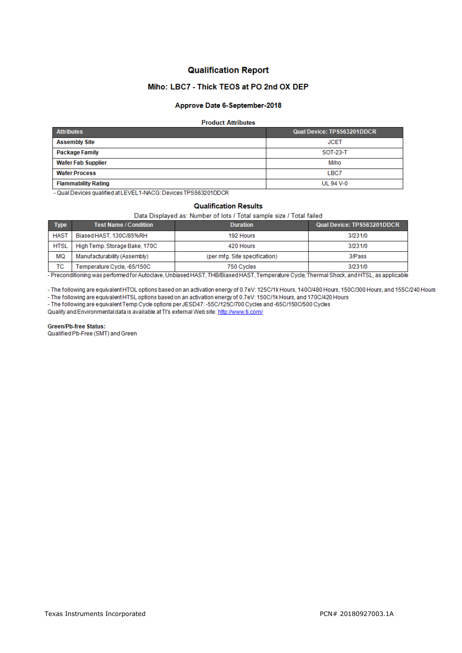# **Qualification Report**

# Miho: LBC7 - Thick TEOS at PO 2nd OX DEP

## Approve Date 6-September-2018

### **Product Attributes**

| <b>Attributes</b>          | Qual Device: TPS563201DDCR |  |  |
|----------------------------|----------------------------|--|--|
| <b>Assembly Site</b>       | <b>JCET</b>                |  |  |
| Package Family             | SOT-23-T                   |  |  |
| <b>Wafer Fab Supplier</b>  | Miho                       |  |  |
| <b>Wafer Process</b>       | LBC7                       |  |  |
| <b>Flammability Rating</b> | UL 94 V-0                  |  |  |

- Qual Devices qualified at LEVEL1-NACG: Devices TPS563201DDCR

#### **Qualification Results**

### Data Displayed as: Number of lots / Total sample size / Total failed

| <b>Type</b> | <b>Test Name / Condition</b>  | <b>Duration</b>               | Qual Device: TPS563201DDCR |
|-------------|-------------------------------|-------------------------------|----------------------------|
| <b>HAST</b> | Biased HAST, 130C/85%RH       | 192 Hours                     | 3/231/0                    |
| <b>HTSL</b> | High Temp, Storage Bake, 170C | 420 Hours                     | 3/231/0                    |
| MQ          | Manufacturability (Assembly)  | (per mfg. Site specification) | 3/Pass                     |
| тс          | Temperature Cycle, -65/150C   | 750 Cycles                    | 3/231/0                    |

- Preconditioning was performed for Autoclave, Unbiased HAST, THB/Biased HAST, Temperature Cycle, Thermal Shock, and HTSL, as applicable

- The following are equivalent HTOL options based on an activation energy of 0.7eV: 125C/1k Hours, 140C/480 Hours, 150C/300 Hours, and 155C/240 Hours

- The following are equivalent HTSL options based on an activation energy of 0.7eV: 150C/1k Hours, and 170C/420 Hours<br>- The following are equivalent HTSL options based on an activation energy of 0.7eV: 150C/1k Hours, and 1

Quality and Environmental data is available at TI's external Web site: http://www.ti.com/

**Green/Pb-free Status:** 

Qualified Pb-Free (SMT) and Green